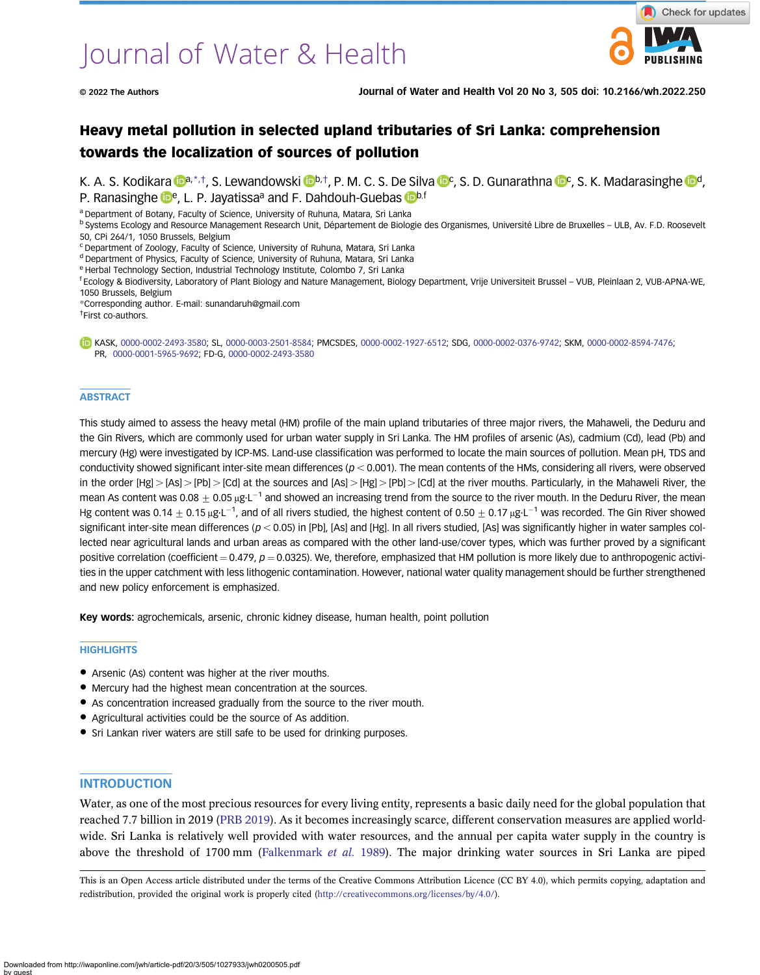# Journal of Water & Health

# Heavy metal pollution in selected upland tributaries of Sri Lanka: comprehension towards the localization of sources of pollution

K. A. S. Kodikara **Da**,\*,†, S. Lewandowski **D[b](https://orcid.org/0000-0003-2501-8584),†, P. M. C. S. De Silva D[c](https://orcid.org/0000-0002-0376-9742), S. D. Gunarathna Dc, S. K. Madarasinghe Dd**, P. Ranasinghe  $\mathbb{D}^e$ , L. P. Jayatissa<sup>a</sup> and F. Dahdouh-Guebas  $\mathbb{D}^{b,f}$ 

a Department of Botany, Faculty of Science, University of Ruhuna, Matara, Sri Lanka

<sup>b</sup> Systems Ecology and Resource Management Research Unit, Département de Biologie des Organismes, Université Libre de Bruxelles – ULB, Av. F.D. Roosevelt 50, CPi 264/1, 1050 Brussels, Belgium

<sup>c</sup> Department of Zoology, Faculty of Science, University of Ruhuna, Matara, Sri Lanka

<sup>d</sup> Department of Physics, Faculty of Science, University of Ruhuna, Matara, Sri Lanka

e Herbal Technology Section, Industrial Technology Institute, Colombo 7, Sri Lanka

f Ecology & Biodiversity, Laboratory of Plant Biology and Nature Management, Biology Department, Vrije Universiteit Brussel – VUB, Pleinlaan 2, VUB-APNA-WE, 1050 Brussels, Belgium

\*Corresponding author. E-mail: [sunandaruh@gmail.com](mailto:sunandaruh@gmail.com)

† First co-authors.

KASK, [0000-0002-2493-3580;](http://orcid.org/0000-0002-2493-3580) SL, [0000-0003-2501-8584](http://orcid.org/0000-0003-2501-8584); PMCSDES, [0000-0002-1927-6512](http://orcid.org/0000-0002-1927-6512); SDG, [0000-0002-0376-9742;](http://orcid.org/0000-0002-0376-9742) SKM, [0000-0002-8594-7476;](http://orcid.org/0000-0002-8594-7476) PR, [0000-0001-5965-9692](http://orcid.org/ 0000-0001-5965-9692); FD-G, [0000-0002-2493-3580](http://orcid.org/0000-0002-2493-3580)

#### **ABSTRACT**

This study aimed to assess the heavy metal (HM) profile of the main upland tributaries of three major rivers, the Mahaweli, the Deduru and the Gin Rivers, which are commonly used for urban water supply in Sri Lanka. The HM profiles of arsenic (As), cadmium (Cd), lead (Pb) and mercury (Hg) were investigated by ICP-MS. Land-use classification was performed to locate the main sources of pollution. Mean pH, TDS and conductivity showed significant inter-site mean differences ( $p < 0.001$ ). The mean contents of the HMs, considering all rivers, were observed in the order  $[Hg] > [As] > [Pb] > [Cd]$  at the sources and  $[As] > [Hg] > [Pb] > [Cd]$  at the river mouths. Particularly, in the Mahaweli River, the mean As content was 0.08  $\pm$  0.05  $\mu$ g·L<sup>-1</sup> and showed an increasing trend from the source to the river mouth. In the Deduru River, the mean Hg content was 0.14  $\pm$  0.15 μg·L $^{-1}$ , and of all rivers studied, the highest content of 0.50  $\pm$  0.17 μg·L $^{-1}$  was recorded. The Gin River showed significant inter-site mean differences ( $p < 0.05$ ) in [Pb], [As] and [Hg]. In all rivers studied, [As] was significantly higher in water samples collected near agricultural lands and urban areas as compared with the other land-use/cover types, which was further proved by a significant positive correlation (coefficient  $= 0.479$ ,  $p = 0.0325$ ). We, therefore, emphasized that HM pollution is more likely due to anthropogenic activities in the upper catchment with less lithogenic contamination. However, national water quality management should be further strengthened and new policy enforcement is emphasized.

Key words: agrochemicals, arsenic, chronic kidney disease, human health, point pollution

#### **HIGHLIGHTS**

- Arsenic (As) content was higher at the river mouths.
- Mercury had the highest mean concentration at the sources.
- As concentration increased gradually from the source to the river mouth.
- Agricultural activities could be the source of As addition.
- Sri Lankan river waters are still safe to be used for drinking purposes.

#### INTRODUCTION

Water, as one of the most precious resources for every living entity, represents a basic daily need for the global population that reached 7.7 billion in 2019 [\(PRB 2019\)](#page-12-0). As it becomes increasingly scarce, different conservation measures are applied worldwide. Sri Lanka is relatively well provided with water resources, and the annual per capita water supply in the country is above the threshold of 1700 mm [\(Falkenmark](#page-12-0) et al. 1989). The major drinking water sources in Sri Lanka are piped

This is an Open Access article distributed under the terms of the Creative Commons Attribution Licence (CC BY 4.0), which permits copying, adaptation and redistribution, provided the original work is properly cited ([http://creativecommons.org/licenses/by/4.0/\)](http://creativecommons.org/licenses/by/4.0/).

Downloaded from http://iwaponline.com/jwh/article-pdf/20/3/505/1027933/jwh0200505.pdf by guest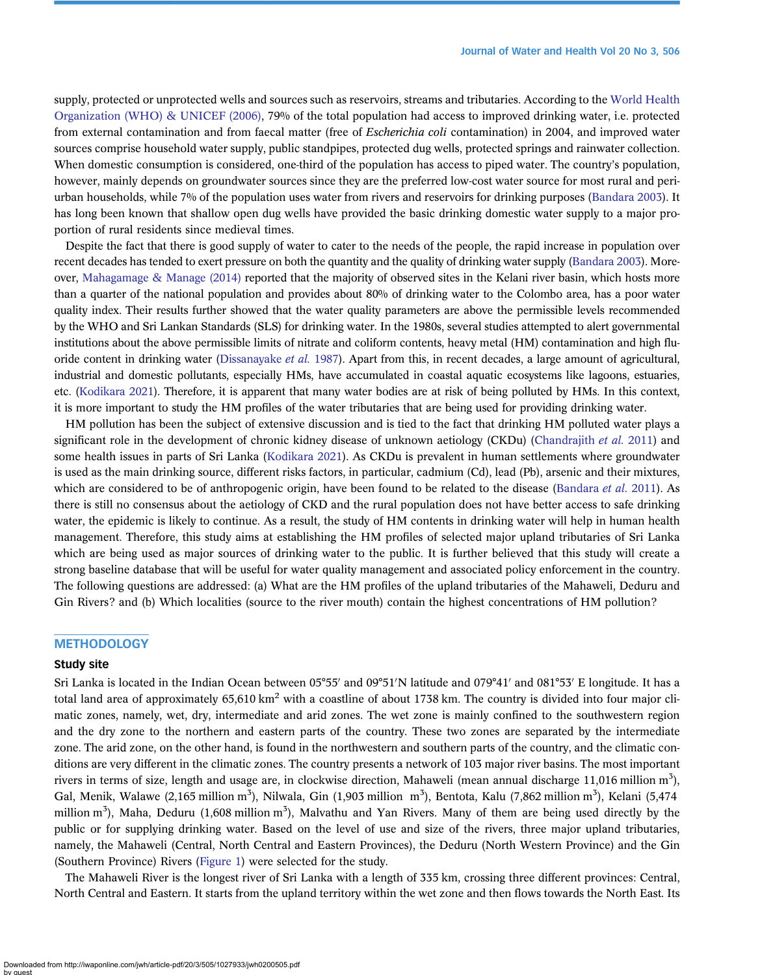supply, protected or unprotected wells and sources such as reservoirs, streams and tributaries. According to the [World Health](#page-12-0) [Organization \(WHO\) & UNICEF \(2006\),](#page-12-0) 79% of the total population had access to improved drinking water, i.e. protected from external contamination and from faecal matter (free of *Escherichia coli* contamination) in 2004, and improved water sources comprise household water supply, public standpipes, protected dug wells, protected springs and rainwater collection. When domestic consumption is considered, one-third of the population has access to piped water. The country's population, however, mainly depends on groundwater sources since they are the preferred low-cost water source for most rural and periurban households, while 7% of the population uses water from rivers and reservoirs for drinking purposes ([Bandara 2003](#page-11-0)). It has long been known that shallow open dug wells have provided the basic drinking domestic water supply to a major proportion of rural residents since medieval times.

Despite the fact that there is good supply of water to cater to the needs of the people, the rapid increase in population over recent decades has tended to exert pressure on both the quantity and the quality of drinking water supply [\(Bandara 2003](#page-11-0)). Moreover, [Mahagamage & Manage \(2014\)](#page-12-0) reported that the majority of observed sites in the Kelani river basin, which hosts more than a quarter of the national population and provides about 80% of drinking water to the Colombo area, has a poor water quality index. Their results further showed that the water quality parameters are above the permissible levels recommended by the WHO and Sri Lankan Standards (SLS) for drinking water. In the 1980s, several studies attempted to alert governmental institutions about the above permissible limits of nitrate and coliform contents, heavy metal (HM) contamination and high flu-oride content in drinking water [\(Dissanayake](#page-12-0) *et al.* 1987). Apart from this, in recent decades, a large amount of agricultural, industrial and domestic pollutants, especially HMs, have accumulated in coastal aquatic ecosystems like lagoons, estuaries, etc. [\(Kodikara 2021](#page-12-0)). Therefore, it is apparent that many water bodies are at risk of being polluted by HMs. In this context, it is more important to study the HM profiles of the water tributaries that are being used for providing drinking water.

HM pollution has been the subject of extensive discussion and is tied to the fact that drinking HM polluted water plays a significant role in the development of chronic kidney disease of unknown aetiology (CKDu) ([Chandrajith](#page-12-0) et al. 2011) and some health issues in parts of Sri Lanka [\(Kodikara 2021\)](#page-12-0). As CKDu is prevalent in human settlements where groundwater is used as the main drinking source, different risks factors, in particular, cadmium (Cd), lead (Pb), arsenic and their mixtures, which are considered to be of anthropogenic origin, have been found to be related to the disease [\(Bandara](#page-11-0) et al. 2011). As there is still no consensus about the aetiology of CKD and the rural population does not have better access to safe drinking water, the epidemic is likely to continue. As a result, the study of HM contents in drinking water will help in human health management. Therefore, this study aims at establishing the HM profiles of selected major upland tributaries of Sri Lanka which are being used as major sources of drinking water to the public. It is further believed that this study will create a strong baseline database that will be useful for water quality management and associated policy enforcement in the country. The following questions are addressed: (a) What are the HM profiles of the upland tributaries of the Mahaweli, Deduru and Gin Rivers? and (b) Which localities (source to the river mouth) contain the highest concentrations of HM pollution?

# **METHODOLOGY**

#### Study site

Sri Lanka is located in the Indian Ocean between 05°55' and 09°51'N latitude and 079°41' and 081°53' E longitude. It has a total land area of approximately  $65,610 \text{ km}^2$  with a coastline of about 1738 km. The country is divided into four major climatic zones, namely, wet, dry, intermediate and arid zones. The wet zone is mainly confined to the southwestern region and the dry zone to the northern and eastern parts of the country. These two zones are separated by the intermediate zone. The arid zone, on the other hand, is found in the northwestern and southern parts of the country, and the climatic conditions are very different in the climatic zones. The country presents a network of 103 major river basins. The most important rivers in terms of size, length and usage are, in clockwise direction, Mahaweli (mean annual discharge 11,016 million m<sup>3</sup>), Gal, Menik, Walawe (2,165 million m<sup>3</sup>), Nilwala, Gin (1,903 million m<sup>3</sup>), Bentota, Kalu (7,862 million m<sup>3</sup>), Kelani (5,474 million m<sup>3</sup>), Maha, Deduru (1,608 million m<sup>3</sup>), Malvathu and Yan Rivers. Many of them are being used directly by the public or for supplying drinking water. Based on the level of use and size of the rivers, three major upland tributaries, namely, the Mahaweli (Central, North Central and Eastern Provinces), the Deduru (North Western Province) and the Gin (Southern Province) Rivers [\(Figure 1\)](#page-2-0) were selected for the study.

The Mahaweli River is the longest river of Sri Lanka with a length of 335 km, crossing three different provinces: Central, North Central and Eastern. It starts from the upland territory within the wet zone and then flows towards the North East. Its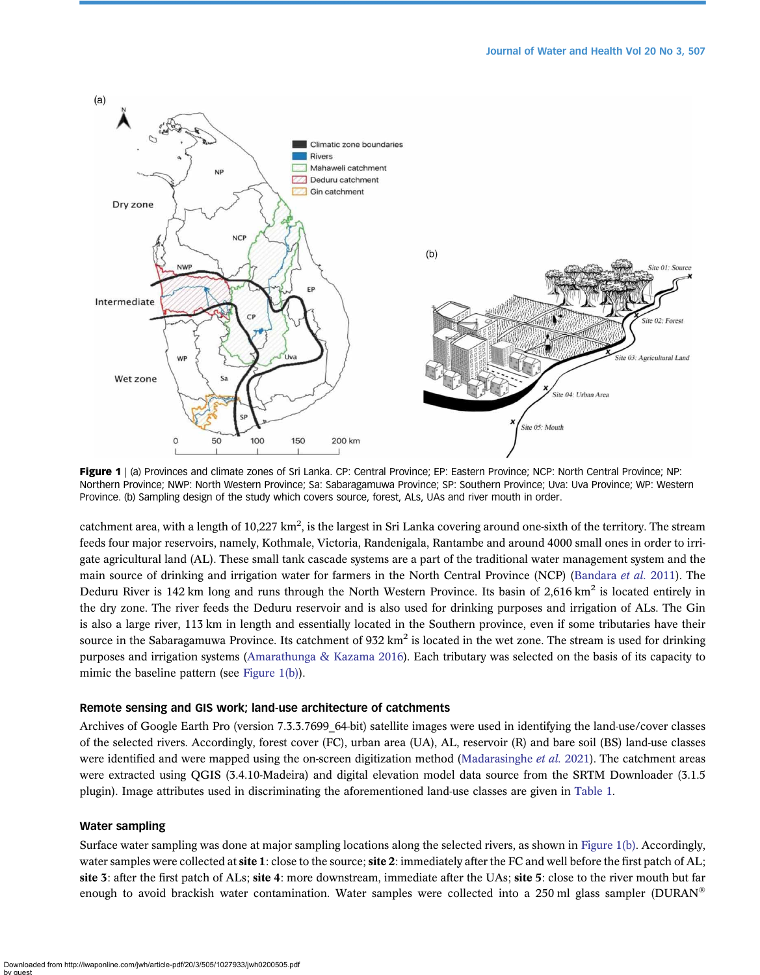<span id="page-2-0"></span>

Figure 1 | (a) Provinces and climate zones of Sri Lanka. CP: Central Province; EP: Eastern Province; NCP: North Central Province; NP: Northern Province; NWP: North Western Province; Sa: Sabaragamuwa Province; SP: Southern Province; Uva: Uva Province; WP: Western Province. (b) Sampling design of the study which covers source, forest, ALs, UAs and river mouth in order.

catchment area, with a length of  $10,227 \text{ km}^2$ , is the largest in Sri Lanka covering around one-sixth of the territory. The stream feeds four major reservoirs, namely, Kothmale, Victoria, Randenigala, Rantambe and around 4000 small ones in order to irrigate agricultural land (AL). These small tank cascade systems are a part of the traditional water management system and the main source of drinking and irrigation water for farmers in the North Central Province (NCP) ([Bandara](#page-11-0) et al. 2011). The Deduru River is 142 km long and runs through the North Western Province. Its basin of  $2,616 \text{ km}^2$  is located entirely in the dry zone. The river feeds the Deduru reservoir and is also used for drinking purposes and irrigation of ALs. The Gin is also a large river, 113 km in length and essentially located in the Southern province, even if some tributaries have their source in the Sabaragamuwa Province. Its catchment of  $932 \text{ km}^2$  is located in the wet zone. The stream is used for drinking purposes and irrigation systems [\(Amarathunga & Kazama 2016\)](#page-11-0). Each tributary was selected on the basis of its capacity to mimic the baseline pattern (see Figure 1(b)).

#### Remote sensing and GIS work; land-use architecture of catchments

Archives of Google Earth Pro (version 7.3.3.7699\_64-bit) satellite images were used in identifying the land-use/cover classes of the selected rivers. Accordingly, forest cover (FC), urban area (UA), AL, reservoir (R) and bare soil (BS) land-use classes were identified and were mapped using the on-screen digitization method [\(Madarasinghe](#page-12-0) *et al.* 2021). The catchment areas were extracted using QGIS (3.4.10-Madeira) and digital elevation model data source from the SRTM Downloader (3.1.5 plugin). Image attributes used in discriminating the aforementioned land-use classes are given in [Table 1](#page-3-0).

#### Water sampling

Surface water sampling was done at major sampling locations along the selected rivers, as shown in Figure 1(b). Accordingly, water samples were collected at site 1: close to the source; site 2: immediately after the FC and well before the first patch of AL; site 3: after the first patch of ALs; site 4: more downstream, immediate after the UAs; site 5: close to the river mouth but far enough to avoid brackish water contamination. Water samples were collected into a 250 ml glass sampler (DURAN<sup>®</sup>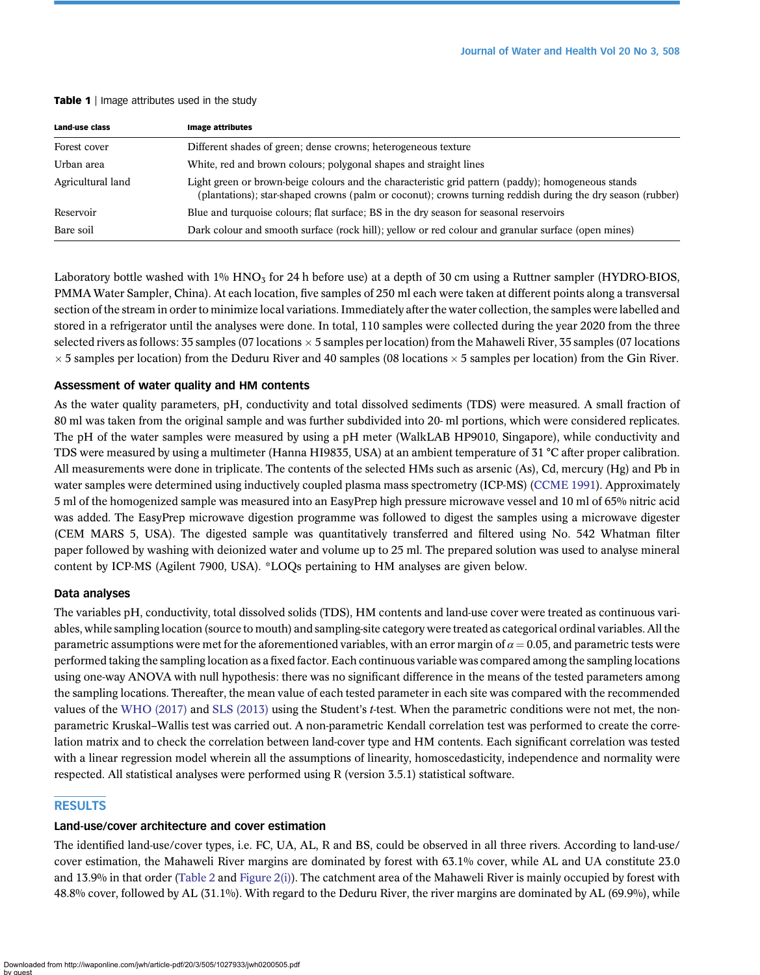<span id="page-3-0"></span>

|  |  | <b>Table 1</b>   Image attributes used in the study |  |  |  |  |
|--|--|-----------------------------------------------------|--|--|--|--|
|--|--|-----------------------------------------------------|--|--|--|--|

| <b>Land-use class</b> | <b>Image attributes</b>                                                                                                                                                                                          |
|-----------------------|------------------------------------------------------------------------------------------------------------------------------------------------------------------------------------------------------------------|
| Forest cover          | Different shades of green; dense crowns; heterogeneous texture                                                                                                                                                   |
| Urban area            | White, red and brown colours; polygonal shapes and straight lines                                                                                                                                                |
| Agricultural land     | Light green or brown-beige colours and the characteristic grid pattern (paddy); homogeneous stands<br>(plantations); star-shaped crowns (palm or coconut); crowns turning reddish during the dry season (rubber) |
| Reservoir             | Blue and turquoise colours; flat surface; BS in the dry season for seasonal reservoirs                                                                                                                           |
| Bare soil             | Dark colour and smooth surface (rock hill); yellow or red colour and granular surface (open mines)                                                                                                               |

Laboratory bottle washed with  $1\%$  HNO<sub>3</sub> for 24 h before use) at a depth of 30 cm using a Ruttner sampler (HYDRO-BIOS, PMMA Water Sampler, China). At each location, five samples of 250 ml each were taken at different points along a transversal section of the stream in order to minimize local variations. Immediately after the water collection, the samples were labelled and stored in a refrigerator until the analyses were done. In total, 110 samples were collected during the year 2020 from the three selected rivers as follows: 35 samples (07 locations  $\times$  5 samples per location) from the Mahaweli River, 35 samples (07 locations  $\times$  5 samples per location) from the Deduru River and 40 samples (08 locations  $\times$  5 samples per location) from the Gin River.

# Assessment of water quality and HM contents

As the water quality parameters, pH, conductivity and total dissolved sediments (TDS) were measured. A small fraction of 80 ml was taken from the original sample and was further subdivided into 20- ml portions, which were considered replicates. The pH of the water samples were measured by using a pH meter (WalkLAB HP9010, Singapore), while conductivity and TDS were measured by using a multimeter (Hanna HI9835, USA) at an ambient temperature of 31 °C after proper calibration. All measurements were done in triplicate. The contents of the selected HMs such as arsenic (As), Cd, mercury (Hg) and Pb in water samples were determined using inductively coupled plasma mass spectrometry (ICP-MS) [\(CCME 1991](#page-11-0)). Approximately 5 ml of the homogenized sample was measured into an EasyPrep high pressure microwave vessel and 10 ml of 65% nitric acid was added. The EasyPrep microwave digestion programme was followed to digest the samples using a microwave digester (CEM MARS 5, USA). The digested sample was quantitatively transferred and filtered using No. 542 Whatman filter paper followed by washing with deionized water and volume up to 25 ml. The prepared solution was used to analyse mineral content by ICP-MS (Agilent 7900, USA). \*LOQs pertaining to HM analyses are given below.

# Data analyses

The variables pH, conductivity, total dissolved solids (TDS), HM contents and land-use cover were treated as continuous variables, while sampling location (source to mouth) and sampling-site category were treated as categorical ordinal variables. All the parametric assumptions were met for the aforementioned variables, with an error margin of  $\alpha = 0.05$ , and parametric tests were performed taking the sampling location as a fixed factor. Each continuous variable was compared among the sampling locations using one-way ANOVA with null hypothesis: there was no significant difference in the means of the tested parameters among the sampling locations. Thereafter, the mean value of each tested parameter in each site was compared with the recommended values of the [WHO \(2017\)](#page-12-0) and [SLS \(2013\)](#page-12-0) using the Student's *t*-test. When the parametric conditions were not met, the nonparametric Kruskal–Wallis test was carried out. A non-parametric Kendall correlation test was performed to create the correlation matrix and to check the correlation between land-cover type and HM contents. Each significant correlation was tested with a linear regression model wherein all the assumptions of linearity, homoscedasticity, independence and normality were respected. All statistical analyses were performed using R (version 3.5.1) statistical software.

# RESULTS

# Land-use/cover architecture and cover estimation

The identified land-use/cover types, i.e. FC, UA, AL, R and BS, could be observed in all three rivers. According to land-use/ cover estimation, the Mahaweli River margins are dominated by forest with 63.1% cover, while AL and UA constitute 23.0 and 13.9% in that order [\(Table 2](#page-4-0) and [Figure 2\(i\)\)](#page-5-0). The catchment area of the Mahaweli River is mainly occupied by forest with 48.8% cover, followed by AL (31.1%). With regard to the Deduru River, the river margins are dominated by AL (69.9%), while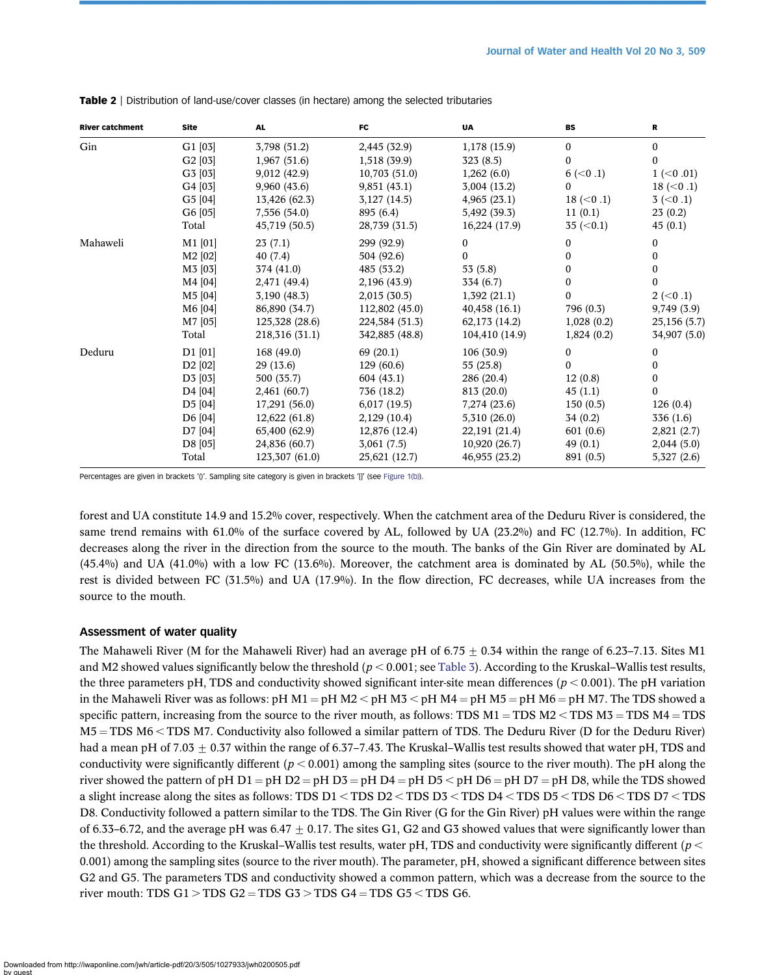| <b>River catchment</b> | <b>Site</b>         | <b>AL</b>      | FC             | <b>UA</b>      | <b>BS</b>        | R             |
|------------------------|---------------------|----------------|----------------|----------------|------------------|---------------|
| Gin                    | G1[03]              | 3,798 (51.2)   | 2,445 (32.9)   | 1,178(15.9)    | $\boldsymbol{0}$ | $\mathbf{0}$  |
|                        | G2[03]              | 1,967(51.6)    | 1,518 (39.9)   | 323(8.5)       | $\mathbf{0}$     | $\Omega$      |
|                        | G3 [03]             | 9,012 (42.9)   | 10,703(51.0)   | 1,262(6.0)     | $6 \ (-0.1)$     | $1$ (<0.01)   |
|                        | G4 [03]             | 9,960(43.6)    | 9,851(43.1)    | 3,004(13.2)    | $\Omega$         | $18 \ (-0.1)$ |
|                        | G5 [04]             | 13,426 (62.3)  | $3,127$ (14.5) | 4,965(23.1)    | $18 \ (-0.1)$    | $3 (-0.1)$    |
|                        | G6 [05]             | 7,556 (54.0)   | 895 (6.4)      | 5,492 (39.3)   | 11(0.1)          | 23(0.2)       |
|                        | Total               | 45,719 (50.5)  | 28,739 (31.5)  | 16,224 (17.9)  | 35 (< 0.1)       | 45(0.1)       |
| Mahaweli               | $M1$ [01]           | 23(7.1)        | 299 (92.9)     | $\bf{0}$       | $\mathbf{0}$     | $\mathbf{0}$  |
|                        | M2 [02]             | 40(7.4)        | 504 (92.6)     | 0              | $\bf{0}$         | 0             |
|                        | M3 [03]             | 374 (41.0)     | 485 (53.2)     | 53 (5.8)       | $\boldsymbol{0}$ | 0             |
|                        | M4 [04]             | 2,471 (49.4)   | 2,196 (43.9)   | 334 (6.7)      | $\mathbf{0}$     | 0             |
|                        | M5 [04]             | 3,190(48.3)    | 2,015(30.5)    | 1,392(21.1)    | 0                | $2 (-0.1)$    |
|                        | M6 [04]             | 86,890 (34.7)  | 112,802 (45.0) | 40,458(16.1)   | 796 (0.3)        | 9,749(3.9)    |
|                        | M7 [05]             | 125,328 (28.6) | 224,584 (51.3) | 62,173 (14.2)  | 1,028(0.2)       | 25,156(5.7)   |
|                        | Total               | 218,316 (31.1) | 342,885 (48.8) | 104,410 (14.9) | 1,824(0.2)       | 34,907 (5.0)  |
| Deduru                 | D1 [01]             | 168 (49.0)     | 69(20.1)       | 106 (30.9)     | $\mathbf{0}$     | $\mathbf{0}$  |
|                        | D2 [02]             | 29(13.6)       | 129(60.6)      | 55(25.8)       | $\mathbf{0}$     | $\Omega$      |
|                        | D3 [03]             | 500 (35.7)     | 604(43.1)      | 286 (20.4)     | 12(0.8)          | 0             |
|                        | D <sub>4</sub> [04] | 2,461(60.7)    | 736 (18.2)     | 813 (20.0)     | 45(1.1)          | $\Omega$      |
|                        | D <sub>5</sub> [04] | 17,291 (56.0)  | 6,017(19.5)    | 7,274(23.6)    | 150(0.5)         | 126(0.4)      |
|                        | D6 [04]             | 12,622(61.8)   | 2,129(10.4)    | 5,310(26.0)    | 34(0.2)          | 336 (1.6)     |
|                        | D7 [04]             | 65,400 (62.9)  | 12,876 (12.4)  | 22,191 (21.4)  | 601(0.6)         | 2,821(2.7)    |
|                        | D8 [05]             | 24,836 (60.7)  | 3,061(7.5)     | 10,920(26.7)   | 49(0.1)          | 2,044(5.0)    |
|                        | Total               | 123,307 (61.0) | 25,621 (12.7)  | 46,955 (23.2)  | 891 (0.5)        | 5,327(2.6)    |

<span id="page-4-0"></span>Table 2 | Distribution of land-use/cover classes (in hectare) among the selected tributaries

Percentages are given in brackets '()'. Sampling site category is given in brackets '[]' (see [Figure 1\(b\)\)](#page-2-0).

forest and UA constitute 14.9 and 15.2% cover, respectively. When the catchment area of the Deduru River is considered, the same trend remains with 61.0% of the surface covered by AL, followed by UA (23.2%) and FC (12.7%). In addition, FC decreases along the river in the direction from the source to the mouth. The banks of the Gin River are dominated by AL  $(45.4\%)$  and UA  $(41.0\%)$  with a low FC  $(13.6\%)$ . Moreover, the catchment area is dominated by AL  $(50.5\%)$ , while the rest is divided between FC (31.5%) and UA (17.9%). In the flow direction, FC decreases, while UA increases from the source to the mouth.

#### Assessment of water quality

The Mahaweli River (M for the Mahaweli River) had an average pH of  $6.75 \pm 0.34$  within the range of 6.23–7.13. Sites M1 and M2 showed values significantly below the threshold ( $p < 0.001$ ; see [Table 3](#page-7-0)). According to the Kruskal–Wallis test results, the three parameters pH, TDS and conductivity showed significant inter-site mean differences ( $p < 0.001$ ). The pH variation in the Mahaweli River was as follows: pH M1 = pH M2 < pH M3 < pH M4 = pH M5 = pH M6 = pH M7. The TDS showed a specific pattern, increasing from the source to the river mouth, as follows: TDS  $M1 = TDS M2 < TDS M3 = TDS M4 = TDS$  $M5 = TDS M6 < TDS M7$ . Conductivity also followed a similar pattern of TDS. The Deduru River (D for the Deduru River) had a mean pH of  $7.03 + 0.37$  within the range of 6.37–7.43. The Kruskal–Wallis test results showed that water pH, TDS and conductivity were significantly different ( $p < 0.001$ ) among the sampling sites (source to the river mouth). The pH along the river showed the pattern of pH D1 = pH D2 = pH D3 = pH D4 = pH D5 < pH D6 = pH D7 = pH D8, while the TDS showed a slight increase along the sites as follows: TDS  $D1 <$  TDS  $D2 <$  TDS  $D3 <$  TDS  $D4 <$  TDS  $D5 <$  TDS  $D6 <$  TDS  $D7 <$  TDS D8. Conductivity followed a pattern similar to the TDS. The Gin River (G for the Gin River) pH values were within the range of 6.33–6.72, and the average pH was 6.47  $\pm$  0.17. The sites G1, G2 and G3 showed values that were significantly lower than the threshold. According to the Kruskal–Wallis test results, water pH, TDS and conductivity were significantly different ( $p <$ 0.001) among the sampling sites (source to the river mouth). The parameter, pH, showed a significant difference between sites G2 and G5. The parameters TDS and conductivity showed a common pattern, which was a decrease from the source to the river mouth: TDS  $G1 > TDS G2 = TDS G3 > TDS G4 = TDS G5 < TDS G6$ .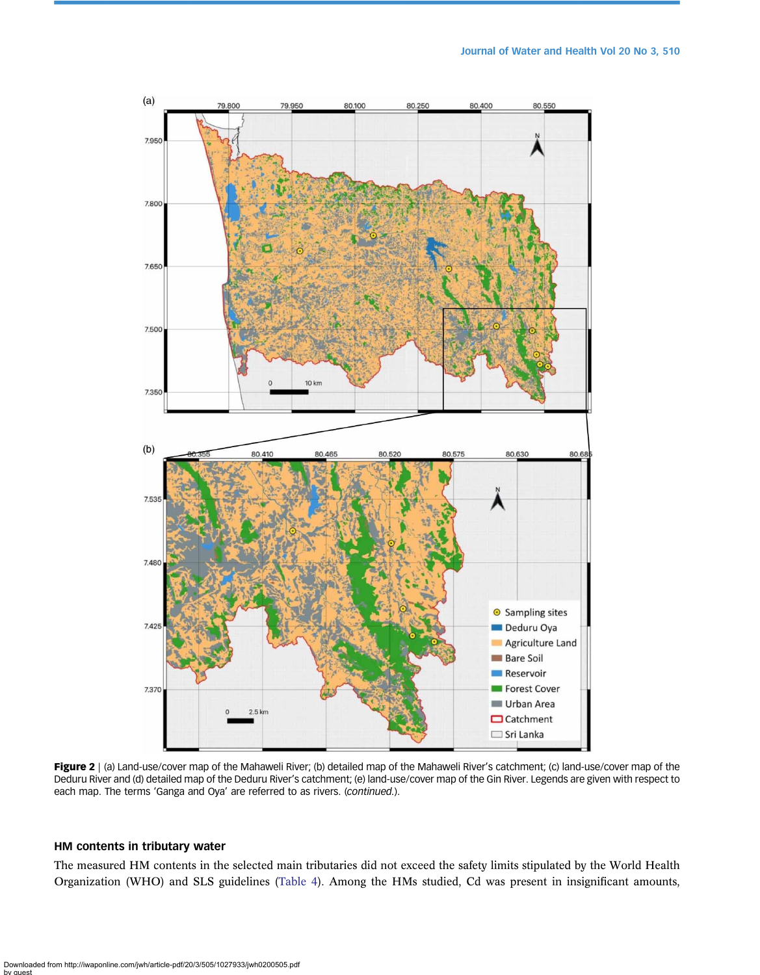<span id="page-5-0"></span>

Figure 2 | (a) Land-use/cover map of the Mahaweli River; (b) detailed map of the Mahaweli River's catchment; (c) land-use/cover map of the Deduru River and (d) detailed map of the Deduru River's catchment; (e) land-use/cover map of the Gin River. Legends are given with respect to each map. The terms 'Ganga and Oya' are referred to as rivers. (continued.).

# HM contents in tributary water

The measured HM contents in the selected main tributaries did not exceed the safety limits stipulated by the World Health Organization (WHO) and SLS guidelines ([Table 4\)](#page-8-0). Among the HMs studied, Cd was present in insignificant amounts,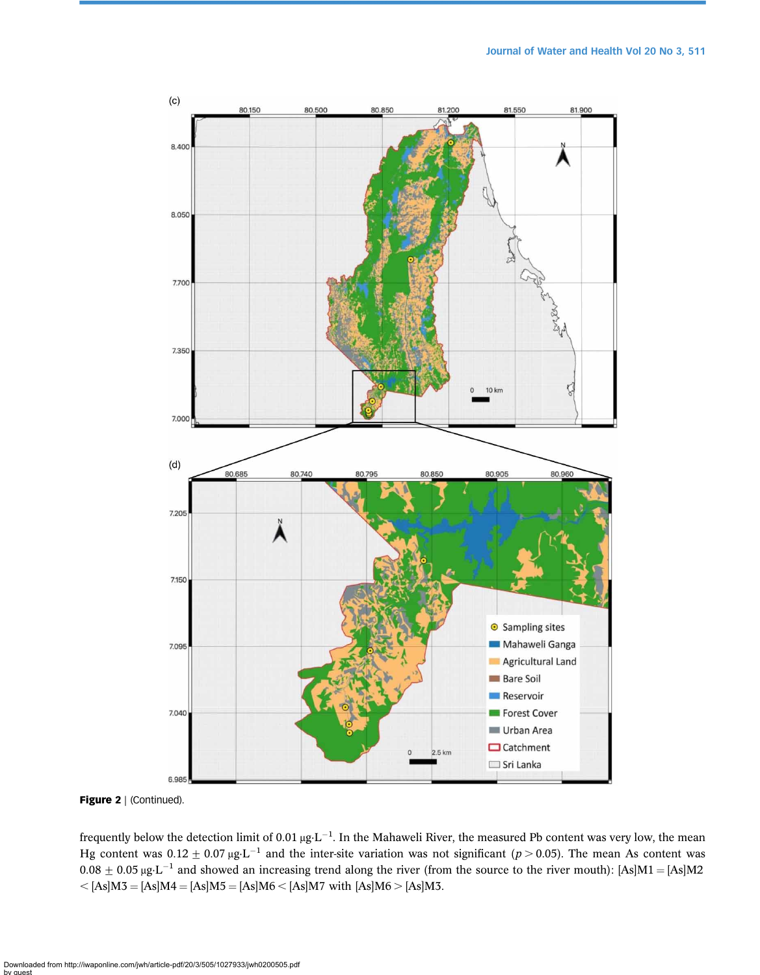

Figure 2 | (Continued).

frequently below the detection limit of 0.01  $\mu g \cdot L^{-1}$ . In the Mahaweli River, the measured Pb content was very low, the mean Hg content was  $0.12 \pm 0.07$   $\mu$ g·L<sup>-1</sup> and the inter-site variation was not significant (p > 0.05). The mean As content was  $0.08 \pm 0.05$  μg·L<sup>-1</sup> and showed an increasing trend along the river (from the source to the river mouth): [As]M1 = [As]M2  $\langle$  [As]M3 = [As]M4 = [As]M5 = [As]M6  $\langle$  [As]M7 with [As]M6  $>$  [As]M3.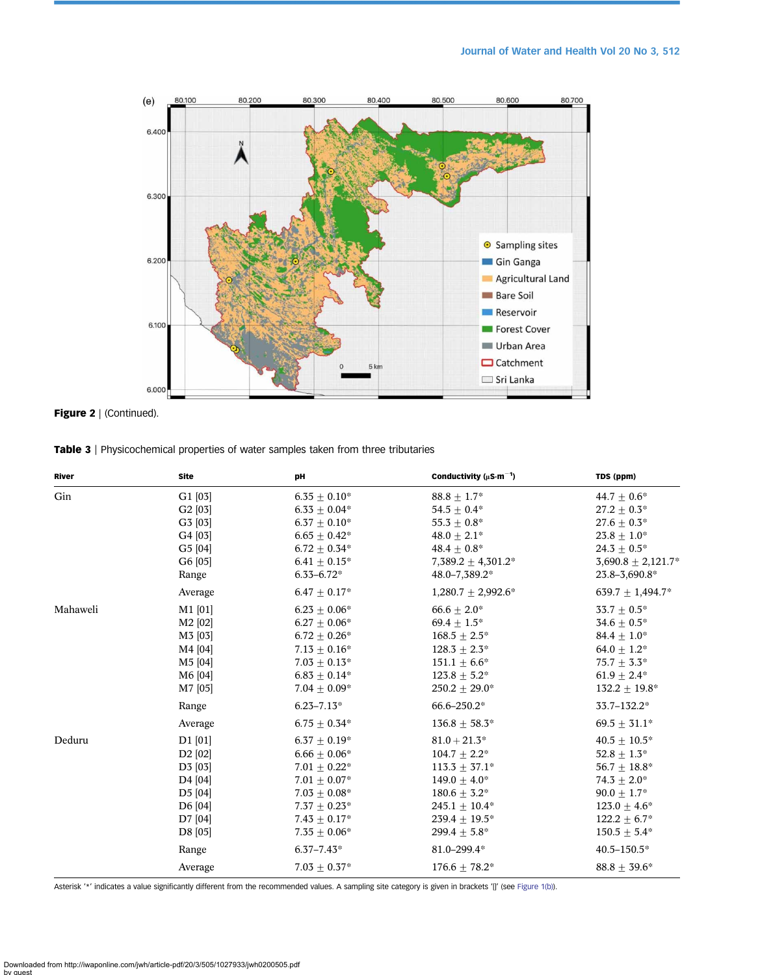<span id="page-7-0"></span>



Table 3 | Physicochemical properties of water samples taken from three tributaries

| River    | <b>Site</b>                      | pH                  | Conductivity ( $\mu$ S·m <sup>-1</sup> ) | TDS (ppm)              |
|----------|----------------------------------|---------------------|------------------------------------------|------------------------|
| Gin      | G1[03]                           | $6.35 \pm 0.10^*$   | $88.8 \pm 1.7^*$                         | $44.7 \pm 0.6^*$       |
|          | G2 [03]                          | $6.33 \pm 0.04*$    | $54.5 \pm 0.4^*$                         | $27.2 + 0.3*$          |
|          | G3 [03]                          | $6.37\,\pm\,0.10^*$ | $55.3 + 0.8*$                            | $27.6 + 0.3*$          |
|          | G4 [03]                          | $6.65\pm0.42^*$     | $48.0 \pm 2.1*$                          | $23.8 \pm 1.0^*$       |
|          | G5 [04]                          | $6.72 \pm 0.34*$    | $48.4 \pm 0.8^*$                         | $24.3 + 0.5*$          |
|          | G6 [05]                          | $6.41 + 0.15*$      | $7,389.2 \pm 4,301.2^*$                  | $3,690.8 \pm 2,121.7*$ |
|          | Range                            | $6.33 - 6.72*$      | 48.0-7,389.2*                            | 23.8-3,690.8*          |
|          | Average                          | $6.47 \pm 0.17*$    | $1,280.7 \pm 2,992.6^*$                  | 639.7 $\pm$ 1,494.7*   |
| Mahaweli | $M1$ [01]                        | $6.23 \pm 0.06^*$   | $66.6\pm2.0^*$                           | $33.7 + 0.5*$          |
|          | M <sub>2</sub> [0 <sub>2</sub> ] | $6.27 + 0.06*$      | $69.4 + 1.5*$                            | $34.6 + 0.5*$          |
|          | M3 [03]                          | $6.72 \pm 0.26^*$   | $168.5 \pm 2.5^*$                        | 84.4 $\pm$ 1.0*        |
|          | M4 [04]                          | $7.13\pm0.16^*$     | $128.3 \pm 2.3^*$                        | $64.0 + 1.2*$          |
|          | M5 [04]                          | $7.03\,\pm\,0.13^*$ | $151.1 \pm 6.6^*$                        | $75.7 \pm 3.3^*$       |
|          | M6 [04]                          | $6.83 \pm 0.14*$    | $123.8\pm5.2^*$                          | $61.9 + 2.4*$          |
|          | M7 [05]                          | $7.04 + 0.09*$      | $250.2 + 29.0*$                          | $132.2 \pm 19.8^*$     |
|          | Range                            | $6.23 - 7.13*$      | $66.6 - 250.2*$                          | 33.7-132.2*            |
|          | Average                          | $6.75\pm0.34^*$     | $136.8 \pm 58.3^*$                       | $69.5 \pm 31.1*$       |
| Deduru   | $D1$ [01]                        | $6.37 \pm 0.19*$    | $81.0 + 21.3*$                           | $40.5 \pm 10.5^*$      |
|          | D2 [02]                          | $6.66 \pm 0.06*$    | $104.7 \pm 2.2^*$                        | $52.8 \pm 1.3^*$       |
|          | D3 [03]                          | $7.01 \pm 0.22^*$   | $113.3 \pm 37.1^*$                       | $56.7 \pm 18.8^*$      |
|          | D <sub>4</sub> [04]              | $7.01\pm0.07^*$     | $149.0 + 4.0*$                           | $74.3 + 2.0*$          |
|          | D <sub>5</sub> [04]              | $7.03 \pm 0.08^*$   | $180.6 + 3.2*$                           | $90.0 + 1.7*$          |
|          | D6 [04]                          | $7.37 \pm 0.23*$    | 245.1 $\pm$ 10.4*                        | $123.0 \pm 4.6^*$      |
|          | D7 [04]                          | $7.43 \pm 0.17*$    | $239.4 + 19.5*$                          | $122.2 \pm 6.7^*$      |
|          | D8 [05]                          | $7.35 \pm 0.06*$    | $299.4 + 5.8*$                           | $150.5 \pm 5.4^*$      |
|          | Range                            | $6.37 - 7.43*$      | 81.0-299.4*                              | $40.5 - 150.5*$        |
|          | Average                          | $7.03 \pm 0.37*$    | $176.6 + 78.2*$                          | $88.8 \pm 39.6^*$      |

Asterisk '\*' indicates a value significantly different from the recommended values. A sampling site category is given in brackets '[]' (see [Figure 1\(b\)\)](#page-2-0).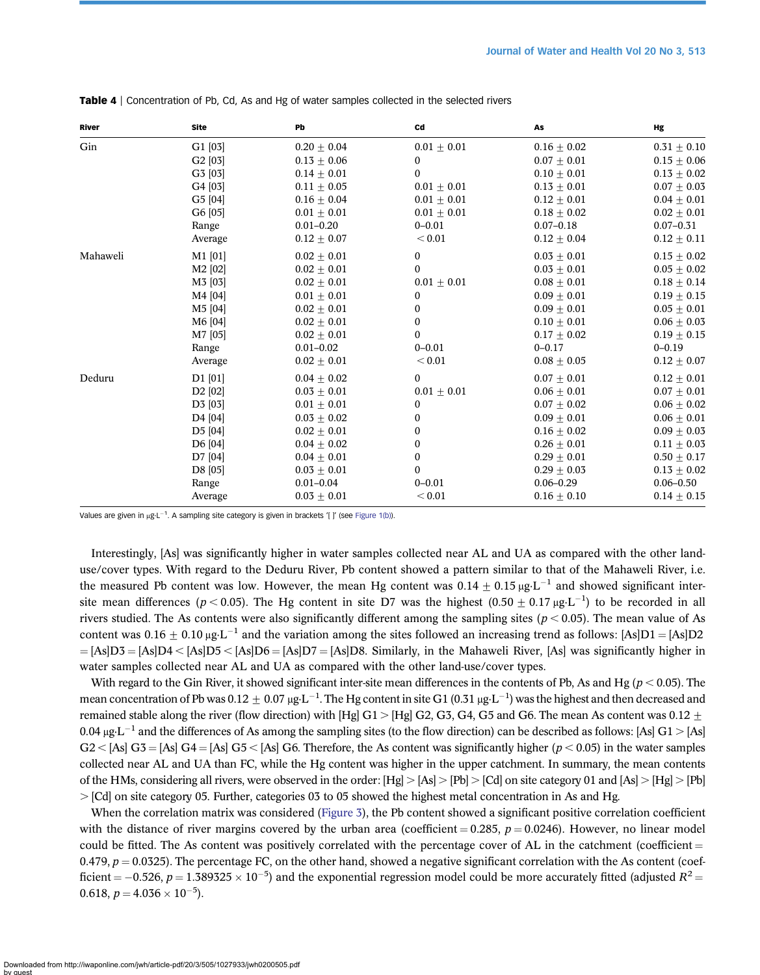| River    | Site                             | Pb              | Cd               | As              | Hg              |
|----------|----------------------------------|-----------------|------------------|-----------------|-----------------|
| Gin      | $G1$ [03]                        | $0.20 \pm 0.04$ | $0.01 \pm 0.01$  | $0.16 + 0.02$   | $0.31 \pm 0.10$ |
|          | G2[03]                           | $0.13 \pm 0.06$ | $\bf{0}$         | $0.07 + 0.01$   | $0.15 \pm 0.06$ |
|          | G3 [03]                          | $0.14 \pm 0.01$ | $\Omega$         | $0.10 \pm 0.01$ | $0.13 \pm 0.02$ |
|          | G4 [03]                          | $0.11 \pm 0.05$ | $0.01 \pm 0.01$  | $0.13 + 0.01$   | $0.07 \pm 0.03$ |
|          | G5 [04]                          | $0.16 \pm 0.04$ | $0.01 \pm 0.01$  | $0.12 + 0.01$   | $0.04 \pm 0.01$ |
|          | G6 [05]                          | $0.01 \pm 0.01$ | $0.01 \pm 0.01$  | $0.18 \pm 0.02$ | $0.02 \pm 0.01$ |
|          | Range                            | $0.01 - 0.20$   | $0 - 0.01$       | $0.07 - 0.18$   | $0.07 - 0.31$   |
|          | Average                          | $0.12 \pm 0.07$ | < 0.01           | $0.12 \pm 0.04$ | $0.12 \pm 0.11$ |
| Mahaweli | M1 [01]                          | $0.02 \pm 0.01$ | $\boldsymbol{0}$ | $0.03 \pm 0.01$ | $0.15 \pm 0.02$ |
|          | M <sub>2</sub> [0 <sub>2</sub> ] | $0.02 \pm 0.01$ | $\mathbf{0}$     | $0.03 \pm 0.01$ | $0.05 \pm 0.02$ |
|          | M3 [03]                          | $0.02 \pm 0.01$ | $0.01 \pm 0.01$  | $0.08 + 0.01$   | $0.18 \pm 0.14$ |
|          | M4 [04]                          | $0.01 \pm 0.01$ | 0                | $0.09 \pm 0.01$ | $0.19 \pm 0.15$ |
|          | M <sub>5</sub> [04]              | $0.02 \pm 0.01$ | 0                | $0.09 + 0.01$   | $0.05 \pm 0.01$ |
|          | M6 [04]                          | $0.02 \pm 0.01$ | $\boldsymbol{0}$ | $0.10 + 0.01$   | $0.06 \pm 0.03$ |
|          | M7 [05]                          | $0.02 \pm 0.01$ | $\boldsymbol{0}$ | $0.17 \pm 0.02$ | $0.19 \pm 0.15$ |
|          | Range                            | $0.01 - 0.02$   | $0 - 0.01$       | $0 - 0.17$      | $0 - 0.19$      |
|          | Average                          | $0.02 \pm 0.01$ | < 0.01           | $0.08 \pm 0.05$ | $0.12 \pm 0.07$ |
| Deduru   | $D1$ [01]                        | $0.04 \pm 0.02$ | $\boldsymbol{0}$ | $0.07 + 0.01$   | $0.12 \pm 0.01$ |
|          | D2 [02]                          | $0.03 \pm 0.01$ | $0.01 \pm 0.01$  | $0.06 + 0.01$   | $0.07 \pm 0.01$ |
|          | D3 [03]                          | $0.01 + 0.01$   | 0                | $0.07 + 0.02$   | $0.06 + 0.02$   |
|          | D4 [04]                          | $0.03 + 0.02$   | 0                | $0.09 + 0.01$   | $0.06 + 0.01$   |
|          | D5 [04]                          | $0.02 \pm 0.01$ | 0                | $0.16 \pm 0.02$ | $0.09 \pm 0.03$ |
|          | D6 [04]                          | $0.04 + 0.02$   | 0                | $0.26 + 0.01$   | $0.11 \pm 0.03$ |
|          | D7 [04]                          | $0.04 + 0.01$   | $\boldsymbol{0}$ | $0.29 + 0.01$   | $0.50 \pm 0.17$ |
|          | D8 [05]                          | $0.03 \pm 0.01$ | $\bf{0}$         | $0.29 \pm 0.03$ | $0.13 \pm 0.02$ |
|          | Range                            | $0.01 - 0.04$   | $0 - 0.01$       | $0.06 - 0.29$   | $0.06 - 0.50$   |
|          | Average                          | $0.03 \pm 0.01$ | < 0.01           | $0.16 \pm 0.10$ | $0.14 \pm 0.15$ |

<span id="page-8-0"></span>Table 4 | Concentration of Pb, Cd, As and Hg of water samples collected in the selected rivers

Values are given in  $\mu$ g·L<sup>-1</sup>. A sampling site category is given in brackets '[ ]' (see [Figure 1\(b\)\)](#page-2-0).

Interestingly, [As] was significantly higher in water samples collected near AL and UA as compared with the other landuse/cover types. With regard to the Deduru River, Pb content showed a pattern similar to that of the Mahaweli River, i.e. the measured Pb content was low. However, the mean Hg content was  $0.14 \pm 0.15 \,\mu g \cdot L^{-1}$  and showed significant intersite mean differences ( $p < 0.05$ ). The Hg content in site D7 was the highest (0.50  $\pm$  0.17  $\mu$ g·L<sup>-1</sup>) to be recorded in all rivers studied. The As contents were also significantly different among the sampling sites ( $p < 0.05$ ). The mean value of As content was  $0.16 \pm 0.10$   $\mu$ g·L<sup>-1</sup> and the variation among the sites followed an increasing trend as follows: [As]D1 = [As]D2  $=$  [As]D3 = [As]D4 < [As]D5 < [As]D6 = [As]D7 = [As]D8. Similarly, in the Mahaweli River, [As] was significantly higher in water samples collected near AL and UA as compared with the other land-use/cover types.

With regard to the Gin River, it showed significant inter-site mean differences in the contents of Pb, As and Hg ( $p < 0.05$ ). The mean concentration of Pb was 0.12  $\pm$  0.07 μg·L $^{-1}$ . The Hg content in site G1 (0.31 μg·L $^{-1}$ ) was the highest and then decreased and remained stable along the river (flow direction) with [Hg] G1 > [Hg] G2, G3, G4, G5 and G6. The mean As content was 0.12  $\pm$ 0.04 μg·L<sup>-1</sup> and the differences of As among the sampling sites (to the flow direction) can be described as follows: [As] G1 > [As]  $G2 <$  [As]  $G3 =$  [As]  $G4 =$  [As]  $G5 <$  [As]  $G6$ . Therefore, the As content was significantly higher ( $p < 0.05$ ) in the water samples collected near AL and UA than FC, while the Hg content was higher in the upper catchment. In summary, the mean contents of the HMs, considering all rivers, were observed in the order:  $[Hg] > [As] > [Pb] > [Cd]$  on site category 01 and  $[As] > [Hg] > [Pb]$  $>$ [Cd] on site category 05. Further, categories 03 to 05 showed the highest metal concentration in As and Hg.

When the correlation matrix was considered ([Figure 3\)](#page-9-0), the Pb content showed a significant positive correlation coefficient with the distance of river margins covered by the urban area (coefficient  $= 0.285$ ,  $p = 0.0246$ ). However, no linear model could be fitted. The As content was positively correlated with the percentage cover of AL in the catchment (coefficient  $=$ 0.479,  $p = 0.0325$ ). The percentage FC, on the other hand, showed a negative significant correlation with the As content (coefficient = –0.526,  $p = 1.389325 \times 10^{-5}$ ) and the exponential regression model could be more accurately fitted (adjusted  $R^2$  = 0.618,  $p = 4.036 \times 10^{-5}$ ).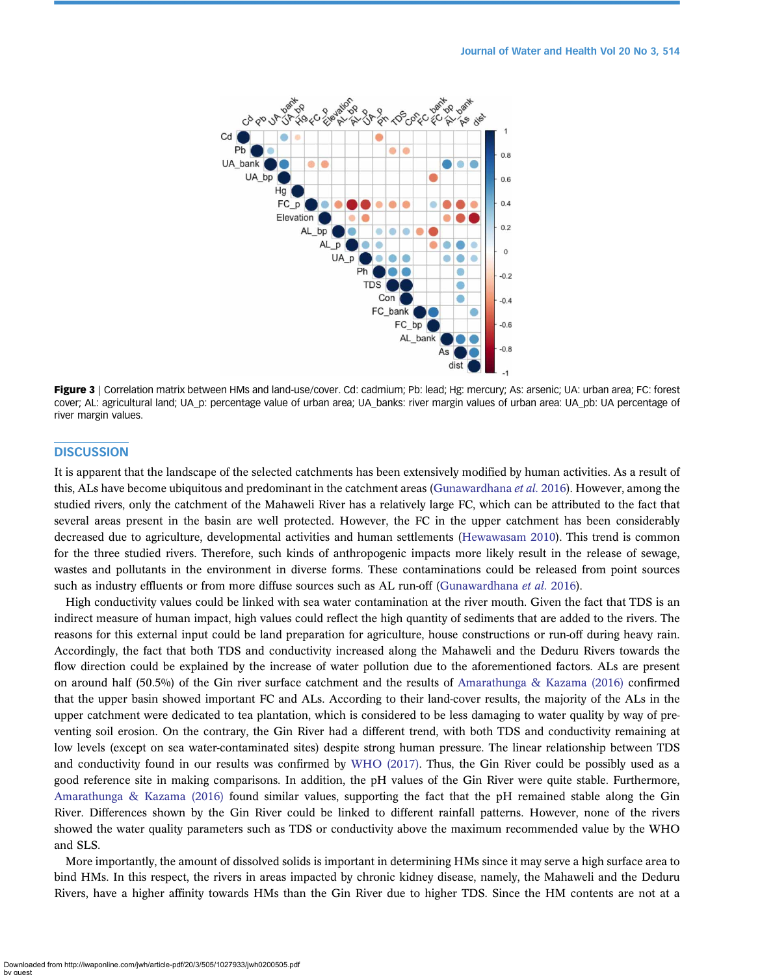<span id="page-9-0"></span>

Figure 3 | Correlation matrix between HMs and land-use/cover. Cd: cadmium; Pb: lead; Hg: mercury; As: arsenic; UA: urban area; FC: forest cover; AL: agricultural land; UA p: percentage value of urban area; UA banks: river margin values of urban area: UA pb: UA percentage of river margin values.

# **DISCUSSION**

It is apparent that the landscape of the selected catchments has been extensively modified by human activities. As a result of this, ALs have become ubiquitous and predominant in the catchment areas ([Gunawardhana](#page-12-0) *et al.* 2016). However, among the studied rivers, only the catchment of the Mahaweli River has a relatively large FC, which can be attributed to the fact that several areas present in the basin are well protected. However, the FC in the upper catchment has been considerably decreased due to agriculture, developmental activities and human settlements [\(Hewawasam 2010\)](#page-12-0). This trend is common for the three studied rivers. Therefore, such kinds of anthropogenic impacts more likely result in the release of sewage, wastes and pollutants in the environment in diverse forms. These contaminations could be released from point sources such as industry effluents or from more diffuse sources such as AL run-off ([Gunawardhana](#page-12-0) et al. 2016).

High conductivity values could be linked with sea water contamination at the river mouth. Given the fact that TDS is an indirect measure of human impact, high values could reflect the high quantity of sediments that are added to the rivers. The reasons for this external input could be land preparation for agriculture, house constructions or run-off during heavy rain. Accordingly, the fact that both TDS and conductivity increased along the Mahaweli and the Deduru Rivers towards the flow direction could be explained by the increase of water pollution due to the aforementioned factors. ALs are present on around half (50.5%) of the Gin river surface catchment and the results of [Amarathunga & Kazama \(2016\)](#page-11-0) confirmed that the upper basin showed important FC and ALs. According to their land-cover results, the majority of the ALs in the upper catchment were dedicated to tea plantation, which is considered to be less damaging to water quality by way of preventing soil erosion. On the contrary, the Gin River had a different trend, with both TDS and conductivity remaining at low levels (except on sea water-contaminated sites) despite strong human pressure. The linear relationship between TDS and conductivity found in our results was confirmed by [WHO \(2017\)](#page-12-0). Thus, the Gin River could be possibly used as a good reference site in making comparisons. In addition, the pH values of the Gin River were quite stable. Furthermore, [Amarathunga & Kazama \(2016\)](#page-11-0) found similar values, supporting the fact that the pH remained stable along the Gin River. Differences shown by the Gin River could be linked to different rainfall patterns. However, none of the rivers showed the water quality parameters such as TDS or conductivity above the maximum recommended value by the WHO and SLS.

More importantly, the amount of dissolved solids is important in determining HMs since it may serve a high surface area to bind HMs. In this respect, the rivers in areas impacted by chronic kidney disease, namely, the Mahaweli and the Deduru Rivers, have a higher affinity towards HMs than the Gin River due to higher TDS. Since the HM contents are not at a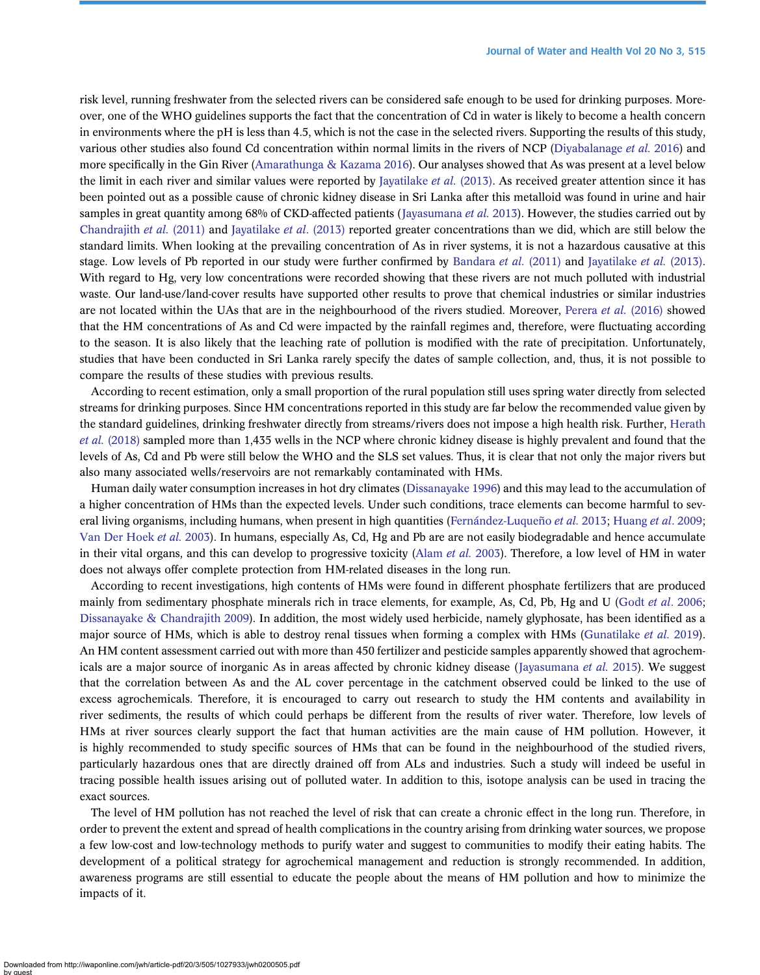risk level, running freshwater from the selected rivers can be considered safe enough to be used for drinking purposes. Moreover, one of the WHO guidelines supports the fact that the concentration of Cd in water is likely to become a health concern in environments where the pH is less than 4.5, which is not the case in the selected rivers. Supporting the results of this study, various other studies also found Cd concentration within normal limits in the rivers of NCP [\(Diyabalanage](#page-12-0) et al. 2016) and more specifically in the Gin River [\(Amarathunga & Kazama 2016\)](#page-11-0). Our analyses showed that As was present at a level below the limit in each river and similar values were reported by [Jayatilake](#page-12-0) *et al.* (2013). As received greater attention since it has been pointed out as a possible cause of chronic kidney disease in Sri Lanka after this metalloid was found in urine and hair samples in great quantity among 68% of CKD-affected patients ([Jayasumana](#page-12-0) *et al.* 2013). However, the studies carried out by [Chandrajith](#page-12-0) et al. (2011) and [Jayatilake](#page-12-0) et al. (2013) reported greater concentrations than we did, which are still below the standard limits. When looking at the prevailing concentration of As in river systems, it is not a hazardous causative at this stage. Low levels of Pb reported in our study were further confirmed by [Bandara](#page-11-0) et al. (2011) and [Jayatilake](#page-12-0) et al. (2013). With regard to Hg, very low concentrations were recorded showing that these rivers are not much polluted with industrial waste. Our land-use/land-cover results have supported other results to prove that chemical industries or similar industries are not located within the UAs that are in the neighbourhood of the rivers studied. Moreover, [Perera](#page-12-0) et al. (2016) showed that the HM concentrations of As and Cd were impacted by the rainfall regimes and, therefore, were fluctuating according to the season. It is also likely that the leaching rate of pollution is modified with the rate of precipitation. Unfortunately, studies that have been conducted in Sri Lanka rarely specify the dates of sample collection, and, thus, it is not possible to compare the results of these studies with previous results.

According to recent estimation, only a small proportion of the rural population still uses spring water directly from selected streams for drinking purposes. Since HM concentrations reported in this study are far below the recommended value given by the standard guidelines, drinking freshwater directly from streams/rivers does not impose a high health risk. Further, [Herath](#page-12-0) et al. [\(2018\)](#page-12-0) sampled more than 1,435 wells in the NCP where chronic kidney disease is highly prevalent and found that the levels of As, Cd and Pb were still below the WHO and the SLS set values. Thus, it is clear that not only the major rivers but also many associated wells/reservoirs are not remarkably contaminated with HMs.

Human daily water consumption increases in hot dry climates ([Dissanayake 1996\)](#page-12-0) and this may lead to the accumulation of a higher concentration of HMs than the expected levels. Under such conditions, trace elements can become harmful to sev-eral living organisms, including humans, when present in high quantities [\(Fernández-Luqueño](#page-12-0) et al. 2013; [Huang](#page-12-0) et al. 2009; [Van Der Hoek](#page-12-0) et al. 2003). In humans, especially As, Cd, Hg and Pb are are not easily biodegradable and hence accumulate in their vital organs, and this can develop to progressive toxicity [\(Alam](#page-11-0) et al. 2003). Therefore, a low level of HM in water does not always offer complete protection from HM-related diseases in the long run.

According to recent investigations, high contents of HMs were found in different phosphate fertilizers that are produced mainly from sedimentary phosphate minerals rich in trace elements, for example, As, Cd, Pb, Hg and U (Godt et al[. 2006](#page-12-0); [Dissanayake & Chandrajith 2009\)](#page-12-0). In addition, the most widely used herbicide, namely glyphosate, has been identified as a major source of HMs, which is able to destroy renal tissues when forming a complex with HMs ([Gunatilake](#page-12-0) et al. 2019). An HM content assessment carried out with more than 450 fertilizer and pesticide samples apparently showed that agrochem-icals are a major source of inorganic As in areas affected by chronic kidney disease ([Jayasumana](#page-12-0) et al. 2015). We suggest that the correlation between As and the AL cover percentage in the catchment observed could be linked to the use of excess agrochemicals. Therefore, it is encouraged to carry out research to study the HM contents and availability in river sediments, the results of which could perhaps be different from the results of river water. Therefore, low levels of HMs at river sources clearly support the fact that human activities are the main cause of HM pollution. However, it is highly recommended to study specific sources of HMs that can be found in the neighbourhood of the studied rivers, particularly hazardous ones that are directly drained off from ALs and industries. Such a study will indeed be useful in tracing possible health issues arising out of polluted water. In addition to this, isotope analysis can be used in tracing the exact sources.

The level of HM pollution has not reached the level of risk that can create a chronic effect in the long run. Therefore, in order to prevent the extent and spread of health complications in the country arising from drinking water sources, we propose a few low-cost and low-technology methods to purify water and suggest to communities to modify their eating habits. The development of a political strategy for agrochemical management and reduction is strongly recommended. In addition, awareness programs are still essential to educate the people about the means of HM pollution and how to minimize the impacts of it.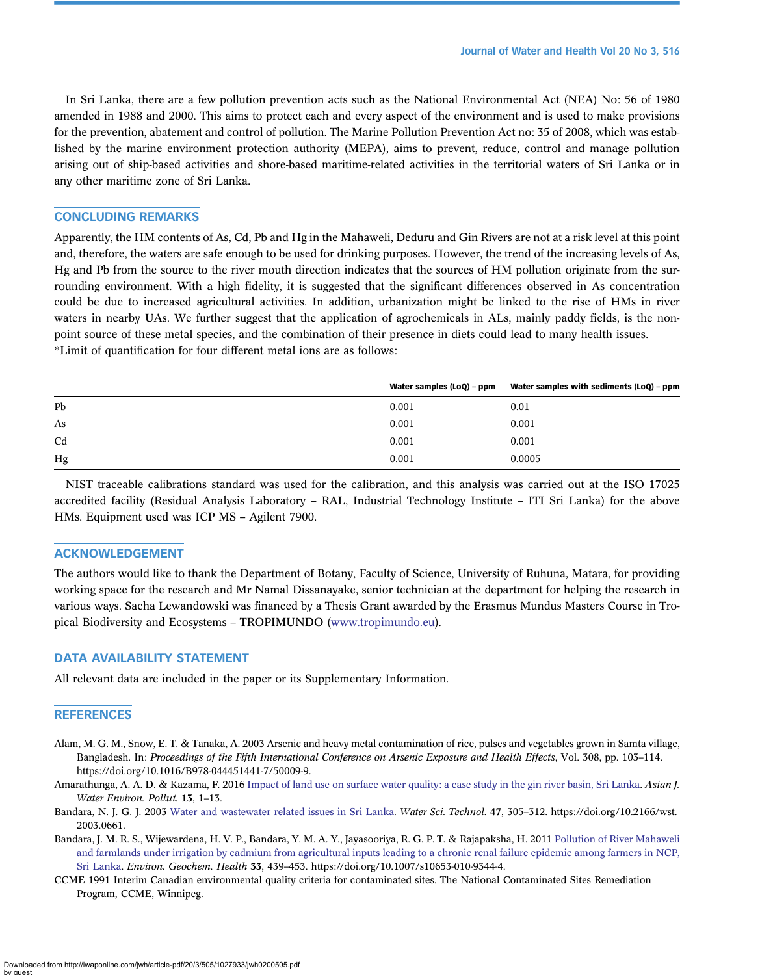<span id="page-11-0"></span>In Sri Lanka, there are a few pollution prevention acts such as the National Environmental Act (NEA) No: 56 of 1980 amended in 1988 and 2000. This aims to protect each and every aspect of the environment and is used to make provisions for the prevention, abatement and control of pollution. The Marine Pollution Prevention Act no: 35 of 2008, which was established by the marine environment protection authority (MEPA), aims to prevent, reduce, control and manage pollution arising out of ship-based activities and shore-based maritime-related activities in the territorial waters of Sri Lanka or in any other maritime zone of Sri Lanka.

# CONCLUDING REMARKS

Apparently, the HM contents of As, Cd, Pb and Hg in the Mahaweli, Deduru and Gin Rivers are not at a risk level at this point and, therefore, the waters are safe enough to be used for drinking purposes. However, the trend of the increasing levels of As, Hg and Pb from the source to the river mouth direction indicates that the sources of HM pollution originate from the surrounding environment. With a high fidelity, it is suggested that the significant differences observed in As concentration could be due to increased agricultural activities. In addition, urbanization might be linked to the rise of HMs in river waters in nearby UAs. We further suggest that the application of agrochemicals in ALs, mainly paddy fields, is the nonpoint source of these metal species, and the combination of their presence in diets could lead to many health issues. \*Limit of quantification for four different metal ions are as follows:

|                | Water samples (LoQ) - ppm | Water samples with sediments (LoQ) - ppm |
|----------------|---------------------------|------------------------------------------|
| Pb             | 0.001                     | 0.01                                     |
| As             | 0.001                     | 0.001                                    |
| C <sub>d</sub> | 0.001                     | 0.001                                    |
| Hg             | 0.001                     | 0.0005                                   |

NIST traceable calibrations standard was used for the calibration, and this analysis was carried out at the ISO 17025 accredited facility (Residual Analysis Laboratory – RAL, Industrial Technology Institute – ITI Sri Lanka) for the above HMs. Equipment used was ICP MS – Agilent 7900.

#### ACKNOWLEDGEMENT

The authors would like to thank the Department of Botany, Faculty of Science, University of Ruhuna, Matara, for providing working space for the research and Mr Namal Dissanayake, senior technician at the department for helping the research in various ways. Sacha Lewandowski was financed by a Thesis Grant awarded by the Erasmus Mundus Masters Course in Tropical Biodiversity and Ecosystems – TROPIMUNDO [\(www.tropimundo.eu\)](http://www.tropimundo.eu).

# DATA AVAILABILITY STATEMENT

All relevant data are included in the paper or its Supplementary Information.

#### **REFERENCES**

- Alam, M. G. M., Snow, E. T. & Tanaka, A. 2003 Arsenic and heavy metal contamination of rice, pulses and vegetables grown in Samta village, Bangladesh. In: Proceedings of the Fifth International Conference on Arsenic Exposure and Health Effects, Vol. 308, pp. 103–114. https://doi.org/10.1016/B978-044451441-7/50009-9.
- Amarathunga, A. A. D. & Kazama, F. 2016 [Impact of land use on surface water quality: a case study in the gin river basin, Sri Lanka](http://dx.doi.org/10.3233/AJW-160022). Asian J. Water Environ. Pollut. 13, 1–13.
- Bandara, N. J. G. J. 2003 [Water and wastewater related issues in Sri Lanka](http://dx.doi.org/10.2166/wst.2003.0661). Water Sci. Technol. 47, 305–312. https://doi.org/10.2166/wst. 2003.0661.
- Bandara, J. M. R. S., Wijewardena, H. V. P., Bandara, Y. M. A. Y., Jayasooriya, R. G. P. T. & Rajapaksha, H. 2011 [Pollution of River Mahaweli](http://dx.doi.org/10.1007/s10653-010-9344-4) [and farmlands under irrigation by cadmium from agricultural inputs leading to a chronic renal failure epidemic among farmers in NCP,](http://dx.doi.org/10.1007/s10653-010-9344-4) [Sri Lanka](http://dx.doi.org/10.1007/s10653-010-9344-4). Environ. Geochem. Health 33, 439–453. https://doi.org/10.1007/s10653-010-9344-4.
- CCME 1991 Interim Canadian environmental quality criteria for contaminated sites. The National Contaminated Sites Remediation Program, CCME, Winnipeg.